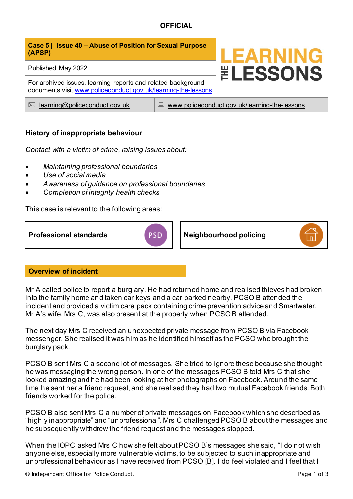| Case 5   Issue 40 - Abuse of Position for Sexual Purpose<br>(APSP)                                                            |                                                    | <b>LEARNING</b>        |
|-------------------------------------------------------------------------------------------------------------------------------|----------------------------------------------------|------------------------|
| Published May 2022                                                                                                            |                                                    | <b><i>ELESSONS</i></b> |
| For archived issues, learning reports and related background<br>documents visit www.policeconduct.gov.uk/learning-the-lessons |                                                    |                        |
| learning@policeconduct.gov.uk<br>$\bowtie$                                                                                    | www.policeconduct.gov.uk/learning-the-lessons<br>닖 |                        |

# **History of inappropriate behaviour**

*Contact with a victim of crime, raising issues about:* 

- *Maintaining professional boundaries*
- *Use of social media*
- *Awareness of guidance on professional boundaries*
- *Completion of integrity health checks*

This case is relevant to the following areas:



# **Overview of incident**

Mr A called police to report a burglary. He had returned home and realised thieves had broken into the family home and taken car keys and a car parked nearby. PCSO B attended the incident and provided a victim care pack containing crime prevention advice and Smartwater. Mr A's wife, Mrs C, was also present at the property when PCSO B attended.

The next day Mrs C received an unexpected private message from PCSO B via Facebook messenger. She realised it was him as he identified himself as the PCSO who brought the burglary pack.

PCSO B sent Mrs C a second lot of messages. She tried to ignore these because she thought he was messaging the wrong person. In one of the messages PCSO B told Mrs C that she looked amazing and he had been looking at her photographs on Facebook. Around the same time he sent her a friend request, and she realised they had two mutual Facebook friends. Both friends worked for the police.

PCSO B also sent Mrs C a number of private messages on Facebook which she described as "highly inappropriate" and "unprofessional". Mrs C challenged PCSO B about the messages and he subsequently withdrew the friend request and the messages stopped.

When the IOPC asked Mrs C how she felt about PCSO B's messages she said, "I do not wish anyone else, especially more vulnerable victims, to be subjected to such inappropriate and unprofessional behaviour as I have received from PCSO [B]. I do feel violated and I feel that I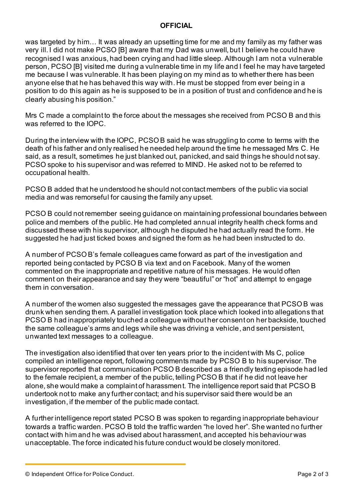was targeted by him… It was already an upsetting time for me and my family as my father was very ill. I did not make PCSO [B] aware that my Dad was unwell, but I believe he could have recognised I was anxious, had been crying and had little sleep. Although I am not a vulnerable person, PCSO [B] visited me during a vulnerable time in my life and I feel he may have targeted me because I was vulnerable. It has been playing on my mind as to whether there has been anyone else that he has behaved this way with. He must be stopped from ever being in a position to do this again as he is supposed to be in a position of trust and confidence and he is clearly abusing his position."

Mrs C made a complaint to the force about the messages she received from PCSO B and this was referred to the IOPC.

During the interview with the IOPC, PCSO B said he was struggling to come to terms with the death of his father and only realised he needed help around the time he messaged Mrs C. He said, as a result, sometimes he just blanked out, panicked, and said things he should not say. PCSO spoke to his supervisor and was referred to MIND. He asked not to be referred to occupational health.

PCSO B added that he understood he should not contact members of the public via social media and was remorseful for causing the family any upset.

PCSO B could not remember seeing guidance on maintaining professional boundaries between police and members of the public. He had completed annual integrity health check forms and discussed these with his supervisor, although he disputed he had actually read the form. He suggested he had just ticked boxes and signed the form as he had been instructed to do.

A number of PCSO B's female colleagues came forward as part of the investigation and reported being contacted by PCSO B via text and on Facebook. Many of the women commented on the inappropriate and repetitive nature of his messages. He would often comment on their appearance and say they were "beautiful" or "hot" and attempt to engage them in conversation.

A number of the women also suggested the messages gave the appearance that PCSO B was drunk when sending them. A parallel investigation took place which looked into allegations that PCSO B had inappropriately touched a colleague without her consent on her backside, touched the same colleague's arms and legs while she was driving a vehicle, and sent persistent, unwanted text messages to a colleague.

The investigation also identified that over ten years prior to the incident with Ms C, police compiled an intelligence report, following comments made by PCSO B to his supervisor. The supervisor reported that communication PCSO B described as a friendly texting episode had led to the female recipient, a member of the public, telling PCSO B that if he did not leave her alone, she would make a complaint of harassment. The intelligence report said that PCSO B undertook not to make any further contact; and his supervisor said there would be an investigation, if the member of the public made contact.

A further intelligence report stated PCSO B was spoken to regarding inappropriate behaviour towards a traffic warden. PCSO B told the traffic warden "he loved her". She wanted no further contact with him and he was advised about harassment, and accepted his behaviour was unacceptable. The force indicated his future conduct would be closely monitored.

© Independent Office for Police Conduct. Page 2 of 3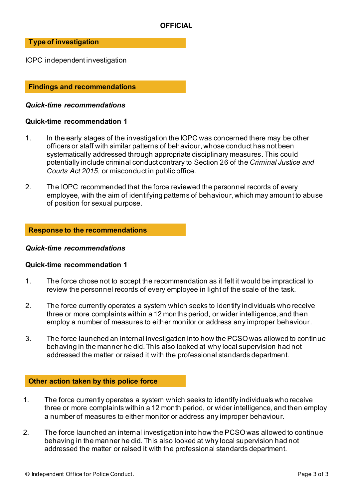#### **Type of investigation**

IOPC independent investigation

### **Findings and recommendations**

#### *Quick-time recommendations*

#### **Quick-time recommendation 1**

- 1. In the early stages of the investigation the IOPC was concerned there may be other officers or staff with similar patterns of behaviour, whose conduct has not been systematically addressed through appropriate disciplinary measures. This could potentially include criminal conduct contrary to Section 26 of the *Criminal Justice and Courts Act 2015*, or misconduct in public office.
- 2. The IOPC recommended that the force reviewed the personnel records of every employee, with the aim of identifying patterns of behaviour, which may amount to abuse of position for sexual purpose.

#### **Response to the recommendations**

#### *Quick-time recommendations*

#### **Quick-time recommendation 1**

- 1. The force chose not to accept the recommendation as it felt it would be impractical to review the personnel records of every employee in light of the scale of the task.
- 2. The force currently operates a system which seeks to identify individuals who receive three or more complaints within a 12 months period, or wider intelligence, and then employ a number of measures to either monitor or address any improper behaviour.
- 3. The force launched an internal investigation into how the PCSO was allowed to continue behaving in the manner he did. This also looked at why local supervision had not addressed the matter or raised it with the professional standards department.

#### **Other action taken by this police force**

- 1. The force currently operates a system which seeks to identify individuals who receive three or more complaints within a 12 month period, or wider intelligence, and then employ a number of measures to either monitor or address any improper behaviour.
- 2. The force launched an internal investigation into how the PCSO was allowed to continue behaving in the manner he did. This also looked at why local supervision had not addressed the matter or raised it with the professional standards department.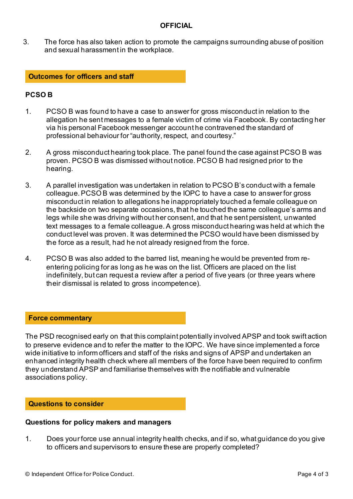3. The force has also taken action to promote the campaigns surrounding abuse of position and sexual harassment in the workplace.

#### **Outcomes for officers and staff**

## **PCSO B**

- 1. PCSO B was found to have a case to answer for gross misconduct in relation to the allegation he sent messages to a female victim of crime via Facebook. By contacting her via his personal Facebook messenger account he contravened the standard of professional behaviour for "authority, respect, and courtesy."
- 2. A gross misconduct hearing took place. The panel found the case against PCSO B was proven. PCSO B was dismissed without notice. PCSO B had resigned prior to the hearing.
- 3. A parallel investigation was undertaken in relation to PCSO B's conduct with a female colleague. PCSO B was determined by the IOPC to have a case to answer for gross misconduct in relation to allegations he inappropriately touched a female colleague on the backside on two separate occasions, that he touched the same colleague's arms and legs while she was driving without her consent, and that he sent persistent, unwanted text messages to a female colleague. A gross misconduct hearing was held at which the conduct level was proven. It was determined the PCSO would have been dismissed by the force as a result, had he not already resigned from the force.
- 4. PCSO B was also added to the barred list, meaning he would be prevented from reentering policing for as long as he was on the list. Officers are placed on the list indefinitely, but can request a review after a period of five years (or three years where their dismissal is related to gross incompetence).

### **Force commentary**

The PSD recognised early on that this complaint potentially involved APSP and took swift action to preserve evidence and to refer the matter to the IOPC. We have since implemented a force wide initiative to inform officers and staff of the risks and signs of APSP and undertaken an enhanced integrity health check where all members of the force have been required to confirm they understand APSP and familiarise themselves with the notifiable and vulnerable associations policy.

#### **Questions to consider**

#### **Questions for policy makers and managers**

1. Does your force use annual integrity health checks, and if so, what guidance do you give to officers and supervisors to ensure these are properly completed?